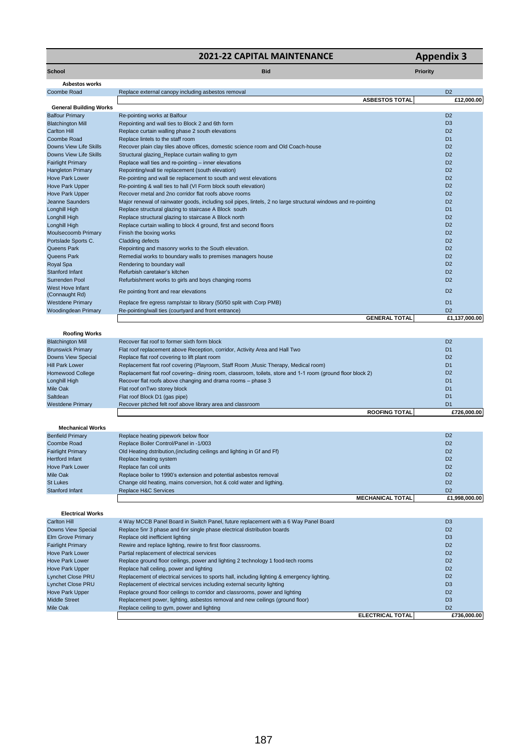## **2021-22 CAPITAL MAINTENANCE Appendix 3**

**School Bid Priority**

**ROOFING TOTAL £726,000.00**

| <b>Asbestos works</b> |  |
|-----------------------|--|
|                       |  |

| Coombe Road                        | Replace external canopy including asbestos removal                                                             | D <sub>2</sub> |
|------------------------------------|----------------------------------------------------------------------------------------------------------------|----------------|
|                                    | <b>ASBESTOS TOTAL</b>                                                                                          | £12,000.00     |
| <b>General Building Works</b>      |                                                                                                                |                |
| <b>Balfour Primary</b>             | Re-pointing works at Balfour                                                                                   | D <sub>2</sub> |
| <b>Blatchington Mill</b>           | Repointing and wall ties to Block 2 and 6th form                                                               | D <sub>3</sub> |
| <b>Carlton Hill</b>                | Replace curtain walling phase 2 south elevations                                                               | D <sub>2</sub> |
| Coombe Road                        | Replace lintels to the staff room                                                                              | D <sub>1</sub> |
| Downs View Life Skills             | Recover plain clay tiles above offices, domestic science room and Old Coach-house                              | D <sub>2</sub> |
| Downs View Life Skills             | Structural glazing_Replace curtain walling to gym                                                              | D <sub>2</sub> |
| <b>Fairlight Primary</b>           | Replace wall ties and re-pointing - inner elevations                                                           | D <sub>2</sub> |
| <b>Hangleton Primary</b>           | Repointing/wall tie replacement (south elevation)                                                              | D <sub>2</sub> |
| <b>Hove Park Lower</b>             | Re-pointing and wall tie replacement to south and west elevations                                              | D <sub>2</sub> |
| <b>Hove Park Upper</b>             | Re-pointing & wall ties to hall (VI Form block south elevation)                                                | D <sub>2</sub> |
| Hove Park Upper                    | Recover metal and 2no corridor flat roofs above rooms                                                          | D <sub>2</sub> |
| Jeanne Saunders                    | Major renewal of rainwater goods, including soil pipes, lintels, 2 no large structural windows and re-pointing | D <sub>2</sub> |
| <b>Longhill High</b>               | Replace structural glazing to staircase A Block south                                                          | D <sub>1</sub> |
| Longhill High                      | Replace structural glazing to staircase A Block north                                                          | D <sub>2</sub> |
| Longhill High                      | Replace curtain walling to block 4 ground, first and second floors                                             | D <sub>2</sub> |
| Moulsecoomb Primary                | Finish the boxing works                                                                                        | D <sub>2</sub> |
| Portslade Sports C.                | <b>Cladding defects</b>                                                                                        | D <sub>2</sub> |
| Queens Park                        | Repointing and masonry works to the South elevation.                                                           | D <sub>2</sub> |
| Queens Park                        | Remedial works to boundary walls to premises managers house                                                    | D <sub>2</sub> |
| <b>Royal Spa</b>                   | Rendering to boundary wall                                                                                     | D <sub>2</sub> |
| Stanford Infant                    | Refurbish caretaker's kitchen                                                                                  | D <sub>2</sub> |
| Surrenden Pool                     | Refurbishment works to girls and boys changing rooms                                                           | D <sub>2</sub> |
| West Hove Infant<br>(Connaught Rd) | Re pointing front and rear elevations                                                                          | D <sub>2</sub> |
| <b>Westdene Primary</b>            | Replace fire egress ramp/stair to library (50/50 split with Corp PMB)                                          | D <sub>1</sub> |
| Woodingdean Primary                | Re-pointing/wall ties (courtyard and front entrance)                                                           | D <sub>2</sub> |
|                                    | <b>GENERAL TOTAL</b>                                                                                           | £1,137,000.00  |
| <b>Roofing Works</b>               |                                                                                                                |                |
| <b>Blatchington Mill</b>           | Recover flat roof to former sixth form block                                                                   | D <sub>2</sub> |
| <b>Brunswick Primary</b>           | Flat roof replacement above Reception, corridor, Activity Area and Hall Two                                    | D <sub>1</sub> |
| <b>Downs View Special</b>          | Replace flat roof covering to lift plant room                                                                  | D <sub>2</sub> |
| <b>Hill Park Lower</b>             | Replacement flat roof covering (Playroom, Staff Room , Music Therapy, Medical room)                            | D <sub>1</sub> |
| <b>Homewood College</b>            | Replacement flat roof covering- dining room, classroom, toilets, store and 1-1 room (ground floor block 2)     | D <sub>2</sub> |
| Longhill High                      | Recover flat roofs above changing and drama rooms - phase 3                                                    | D <sub>1</sub> |
| Mile Oak                           | Flat roof on Two storey block                                                                                  | D <sub>1</sub> |
| Saltdean                           | Flat roof Block D1 (gas pipe)                                                                                  | D <sub>1</sub> |
| <b>Westdene Primary</b>            | Recover pitched felt roof above library area and classroom                                                     | D <sub>1</sub> |

**Mechanical Works**

| Replace heating pipework below floor                                    |                         | D <sub>2</sub> |
|-------------------------------------------------------------------------|-------------------------|----------------|
| Replace Boiler Control/Panel in -1/003                                  |                         | D <sub>2</sub> |
| Old Heating dstribution, (including ceilings and lighting in Gf and Ff) |                         | D <sub>2</sub> |
| Replace heating system                                                  |                         | D <sub>2</sub> |
| Replace fan coil units                                                  |                         | D <sub>2</sub> |
| Replace boiler to 1990's extension and potential asbestos removal       |                         | D <sub>2</sub> |
| Change old heating, mains conversion, hot & cold water and ligthing.    |                         | D <sub>2</sub> |
| Replace H&C Services                                                    |                         | D <sub>2</sub> |
|                                                                         | <b>MECHANICAL TOTAL</b> | £1.998.000.00  |
|                                                                         |                         |                |

| <b>Electrical Works</b>  |                                                                                             |                         |                |
|--------------------------|---------------------------------------------------------------------------------------------|-------------------------|----------------|
| Carlton Hill             | 4 Way MCCB Panel Board in Switch Panel, future replacement with a 6 Way Panel Board         |                         | D <sub>3</sub> |
| Downs View Special       | Replace 5nr 3 phase and 6nr single phase electrical distribution boards                     |                         | D <sub>2</sub> |
| <b>Elm Grove Primary</b> | Replace old inefficient lighting                                                            |                         | D <sub>3</sub> |
| <b>Fairlight Primary</b> | Rewire and replace lighting, rewire to first floor classrooms.                              |                         | D <sub>2</sub> |
| <b>Hove Park Lower</b>   | Partial replacement of electrical services                                                  |                         | D <sub>2</sub> |
| <b>Hove Park Lower</b>   | Replace ground floor ceilings, power and lighting 2 technology 1 food-tech rooms            |                         | D <sub>2</sub> |
| <b>Hove Park Upper</b>   | Replace hall ceiling, power and lighting                                                    |                         | D <sub>2</sub> |
| Lynchet Close PRU        | Replacement of electrical services to sports hall, including lighting & emergency lighting. |                         | D <sub>2</sub> |
| Lynchet Close PRU        | Replacement of electrical services including external security lighting                     |                         | D <sub>3</sub> |
| <b>Hove Park Upper</b>   | Replace ground floor ceilings to corridor and classrooms, power and lighting                |                         | D <sub>2</sub> |
| <b>Middle Street</b>     | Replacement power, lighting, asbestos removal and new ceilings (ground floor)               |                         | D <sub>3</sub> |
| Mile Oak                 | Replace ceiling to gym, power and lighting                                                  |                         | D <sub>2</sub> |
|                          |                                                                                             | <b>ELECTRICAL TOTAL</b> | £736,000,00    |